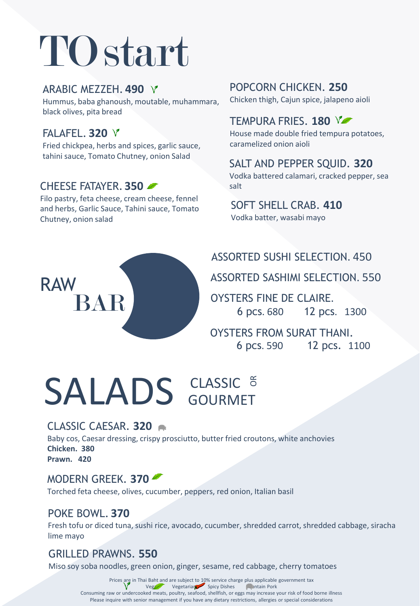# TOstart

#### ARABIC MEZZEH. **490**

Hummus, baba ghanoush, moutable, muhammara, black olives, pita bread

# FALAFEL. **320**

RAW

Fried chickpea, herbs and spices, garlic sauce, tahini sauce, Tomato Chutney, onion Salad

# CHEESE FATAYER. **350**

BAR

Filo pastry, feta cheese, cream cheese, fennel and herbs, Garlic Sauce, Tahini sauce, Tomato Chutney, onion salad

# POPCORN CHICKEN. **250**

Chicken thigh, Cajun spice, jalapeno aioli

## TEMPURA FRIES. **180**

House made double fried tempura potatoes, caramelized onion aioli

## SALT AND PEPPER SQUID. **320**

Vodka battered calamari, cracked pepper, sea salt

# SOFT SHELL CRAB. **410**

Vodka batter, wasabi mayo

# ASSORTED SUSHI SELECTION. 450

ASSORTED SASHIMI SELECTION. 550

OYSTERS FINE DE CLAIRE. 6 pcs. 680 12 pcs. 1300

OYSTERS FROM SURAT THANI. 6 pcs. 590 12 pcs. 1100

# **SALADS** GOURMET

## CLASSIC CAESAR. **320**

Baby cos, Caesar dressing, crispy prosciutto, butter fried croutons, white anchovies **Chicken. 380 Prawn. 420**

## MODERN GREEK. **370**

Torched feta cheese, olives, cucumber, peppers, red onion, Italian basil

#### POKE BOWL. **370**

Fresh tofu or diced tuna, sushi rice, avocado, cucumber, shredded carrot, shredded cabbage, siracha lime mayo

## GRILLED PRAWNS. **550**

Miso soy soba noodles, green onion, ginger, sesame, red cabbage, cherry tomatoes

Prices are in Thai Baht and are subject to 10% service charge plus applicable government tax<br>
Veg Vegetarian Spicy Dishes Contain Pork Vegan Vegetarian Spicy Dishes Consuming raw or undercooked meats, poultry, seafood, shellfish, or eggs may increase your risk of food borne illness Please inquire with senior management if you have any dietary restrictions, allergies or special considerations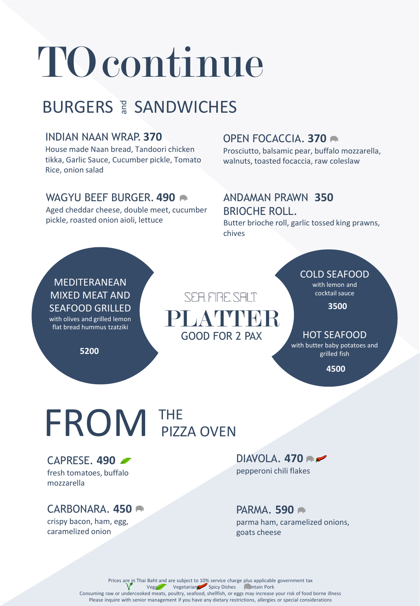# TO continue

# **BURGERS & SANDWICHES**

#### INDIAN NAAN WRAP. **370**

House made Naan bread, Tandoori chicken tikka, Garlic Sauce, Cucumber pickle, Tomato Rice, onion salad

#### WAGYU BEEF BURGER. **490**

Aged cheddar cheese, double meet, cucumber pickle, roasted onion aioli, lettuce

### OPEN FOCACCIA. **370**

Prosciutto, balsamic pear, buffalo mozzarella, walnuts, toasted focaccia, raw coleslaw

#### ANDAMAN PRAWN **350** BRIOCHE ROLL.

Butter brioche roll, garlic tossed king prawns, chives

#### MEDITERANEAN MIXED MEAT AND SEAFOOD GRILLED with olives and grilled lemon

flat bread hummus tzatziki

**5200**

# SEA FIRE SALT PLATTER GOOD FOR 2 PAX

#### COLD SEAFOOD

with lemon and cocktail sauce

**3500**

#### HOT SEAFOOD

with butter baby potatoes and grilled fish

**4500**

# FROM THE PIZZA OVEN

CAPRESE. **490** fresh tomatoes, buffalo mozzarella

## CARBONARA. **450**

crispy bacon, ham, egg, caramelized onion

DIAVOLA. **470** pepperoni chili flakes

#### PARMA. **590**

parma ham, caramelized onions, goats cheese

Prices are in Thai Baht and are subject to 10% service charge plus applicable government tax Vegan Vegetarian Spicy Dishes Contain Pork Consuming raw or undercooked meats, poultry, seafood, shellfish, or eggs may increase your risk of food borne illness Please inquire with senior management if you have any dietary restrictions, allergies or special considerations